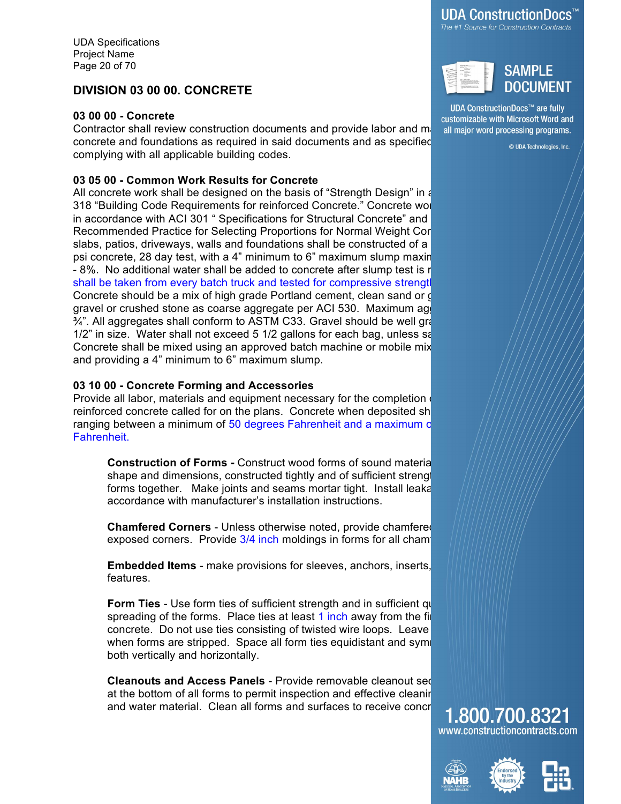## **DIVISION 03 00 00. CONCRETE**

#### **03 00 00 - Concrete**

Contractor shall review construction documents and provide labor and  $m_{\text{e}}$  all major word processing programs. concrete and foundations as required in said documents and as specified complying with all applicable building codes.

## **03 05 00 - Common Work Results for Concrete**

All concrete work shall be designed on the basis of "Strength Design" in a 318 "Building Code Requirements for reinforced Concrete." Concrete work in accordance with ACI 301 " Specifications for Structural Concrete" and Recommended Practice for Selecting Proportions for Normal Weight Concrete slabs, patios, driveways, walls and foundations shall be constructed of a psi concrete, 28 day test, with a 4" minimum to 6" maximum slump maxin - 8%. No additional water shall be added to concrete after slump test is recorded. shall be taken from every batch truck and tested for compressive strengt Concrete should be a mix of high grade Portland cement, clean sand or g gravel or crushed stone as coarse aggregate per ACI 530. Maximum age  $\frac{3}{4}$ ". All aggregates shall conform to ASTM C33. Gravel should be well graded and not exceed 1  $1/2$ " in size. Water shall not exceed 5  $1/2$  gallons for each bag, unless sand it very dry. Concrete shall be mixed using an approved batch machine or mobile mix and providing a 4" minimum to 6" maximum slump.

## **03 10 00 - Concrete Forming and Accessories**

Provide all labor, materials and equipment necessary for the completion reinforced concrete called for on the plans. Concrete when deposited sh ranging between a minimum of 50 degrees Fahrenheit and a maximum of Fahrenheit.

**Construction of Forms - Construct wood forms of sound material** shape and dimensions, constructed tightly and of sufficient strength. forms together. Make joints and seams mortar tight. Install leaka accordance with manufacturer's installation instructions.

**Chamfered Corners - Unless otherwise noted, provide chamfered** exposed corners. Provide 3/4 inch moldings in forms for all cham

**Embedded Items** - make provisions for sleeves, anchors, inserts, features.

**Form Ties** - Use form ties of sufficient strength and in sufficient quantity spreading of the forms. Place ties at least 1 inch away from the figure concrete. Do not use ties consisting of twisted wire loops. Leave when forms are stripped. Space all form ties equidistant and symple both vertically and horizontally.

**Cleanouts and Access Panels** - Provide removable cleanout sed at the bottom of all forms to permit inspection and effective cleanir and water material. Clean all forms and surfaces to receive concrete  $1.800.700.8321$ 



**UDA ConstructionDocs™ are fully** customizable with Microsoft Word and

© UDA Technologies, Inc.





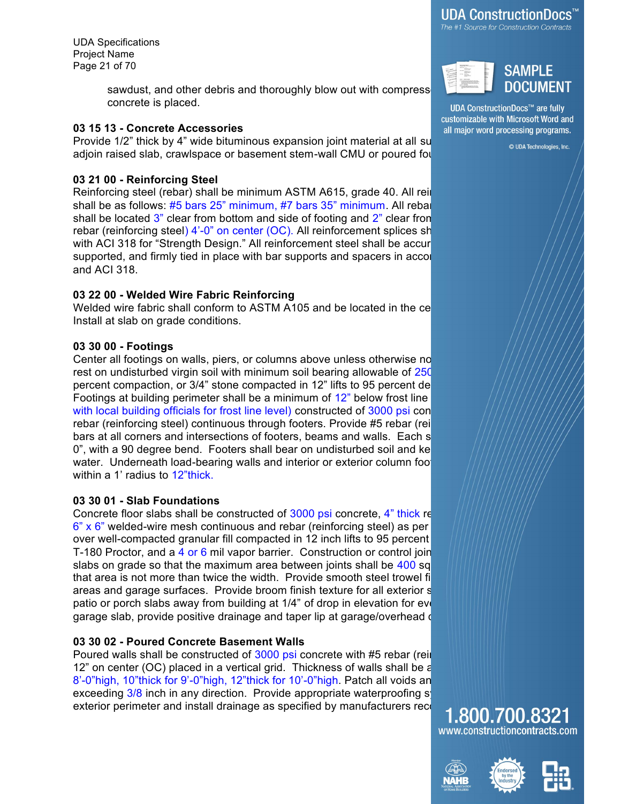UDA Specifications Project Name Page 21 of 70

> sawdust, and other debris and thoroughly blow out with compressed and **DOCUMENT** concrete is placed.

#### **03 15 13 - Concrete Accessories**

Provide 1/2" thick by 4" wide bituminous expansion joint material at all surface the surface of  $\frac{1}{2}$  where slabs and surface throughles, Inc. adjoin raised slab, crawlspace or basement stem-wall CMU or poured for

## **03 21 00 - Reinforcing Steel**

Reinforcing steel (rebar) shall be minimum ASTM A615, grade 40. All rein shall be as follows: #5 bars 25" minimum, #7 bars 35" minimum. All rebar shall be located  $3$ " clear from bottom and side of footing and  $2$ " clear fron rebar (reinforcing steel) 4'-0" on center (OC). All reinforcement splices sh with ACI 318 for "Strength Design." All reinforcement steel shall be accur supported, and firmly tied in place with bar supports and spacers in accordance with ACI 30101 30101 30101 301 and ACI 318.

## **03 22 00 - Welded Wire Fabric Reinforcing**

Welded wire fabric shall conform to ASTM A105 and be located in the ce Install at slab on grade conditions.

## **03 30 00 - Footings**

Center all footings on walls, piers, or columns above unless otherwise no rest on undisturbed virgin soil with minimum soil bearing allowable of  $250$ percent compaction, or 3/4" stone compacted in 12" lifts to 95 percent de Footings at building perimeter shall be a minimum of  $12"$  below frost line with local building officials for frost line level) constructed of 3000 psi con rebar (reinforcing steel) continuous through footers. Provide #5 rebar (rei bars at all corners and intersections of footers, beams and walls. Each s 0", with a 90 degree bend. Footers shall bear on undisturbed soil and ke water. Underneath load-bearing walls and interior or exterior column foot within a 1' radius to 12"thick.

#### **03 30 01 - Slab Foundations**

Concrete floor slabs shall be constructed of 3000 psi concrete, 4" thick re  $6"$  x  $6"$  welded-wire mesh continuous and rebar (reinforcing steel) as per over well-compacted granular fill compacted in 12 inch lifts to 95 percent T-180 Proctor, and a 4 or 6 mil vapor barrier. Construction or control join slabs on grade so that the maximum area between joints shall be  $400$  sq. that area is not more than twice the width. Provide smooth steel trowel fi areas and garage surfaces. Provide broom finish texture for all exterior s patio or porch slabs away from building at 1/4" of drop in elevation for every garage slab, provide positive drainage and taper lip at garage/overhead or

## **03 30 02 - Poured Concrete Basement Walls**

Poured walls shall be constructed of 3000 psi concrete with #5 rebar (rein 12" on center (OC) placed in a vertical grid. Thickness of walls shall be a 8'-0"high, 10"thick for 9'-0"high, 12"thick for 10'-0"high. Patch all voids an exceeding  $3/8$  inch in any direction. Provide appropriate waterproofing s exterior perimeter and install drainage as specified by manufacturers rec $\sim\,1.800.700.8321$ 

UDA ConstructionDocs The #1 Source for Construction Contracts



# **SAMPLE**

**UDA ConstructionDocs™ are fully** customizable with Microsoft Word and all major word processing programs.





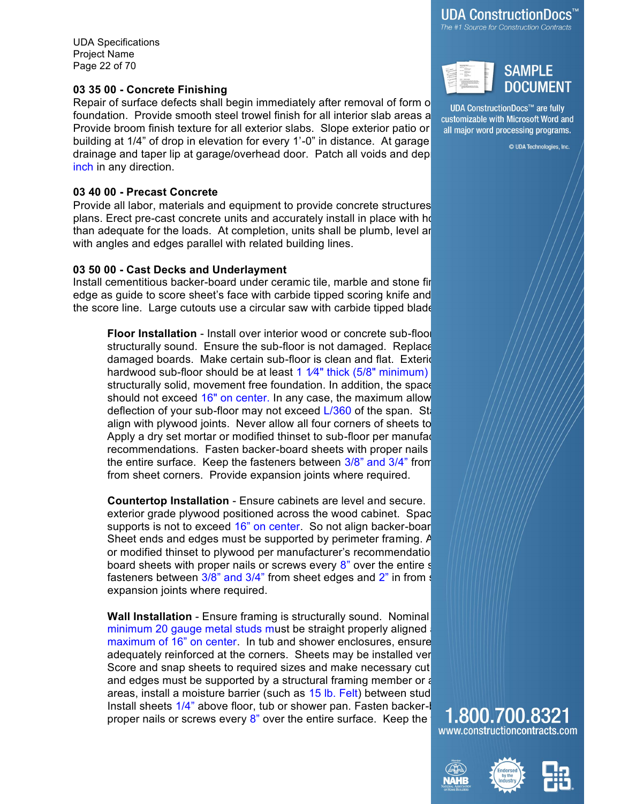UDA Specifications Project Name Page 22 of 70

## **03 35 00 - Concrete Finishing**

Repair of surface defects shall begin immediately after removal of form or puba construction Docs<sup>TM</sup> are fully foundation. Provide smooth steel trowel finish for all interior slab areas a customizable with Microsoft Word and Provide broom finish texture for all exterior slabs. Slope exterior patio or all major word processing programs. building at 1/4" of drop in elevation for every 1'-0" in distance. At garage slab and a positive positive positive positive positive positive. drainage and taper lip at garage/overhead door. Patch all voids and dep inch in any direction.

#### **03 40 00 - Precast Concrete**

Provide all labor, materials and equipment to provide concrete structures plans. Erect pre-cast concrete units and accurately install in place with ho than adequate for the loads. At completion, units shall be plumb, level are with angles and edges parallel with related building lines.

#### **03 50 00 - Cast Decks and Underlayment**

Install cementitious backer-board under ceramic tile, marble and stone fir edge as guide to score sheet's face with carbide tipped scoring knife and the score line. Large cutouts use a circular saw with carbide tipped blade.

**Floor Installation** - Install over interior wood or concrete sub-floor structurally sound. Ensure the sub-floor is not damaged. Replace damaged boards. Make certain sub-floor is clean and flat. Exterior hardwood sub-floor should be at least  $1\frac{1}{4}$ " thick (5/8" minimum) structurally solid, movement free foundation. In addition, the space should not exceed  $16"$  on center. In any case, the maximum allow deflection of your sub-floor may not exceed  $L/360$  of the span. St align with plywood joints. Never allow all four corners of sheets to Apply a dry set mortar or modified thinset to sub-floor per manufacturers recommendations. Fasten backer-board sheets with proper nails the entire surface. Keep the fasteners between  $3/8$ " and  $3/4$ " from from sheet corners. Provide expansion joints where required.

**Countertop Installation** - Ensure cabinets are level and secure. exterior grade plywood positioned across the wood cabinet. Spac supports is not to exceed 16" on center. So not align backer-boar Sheet ends and edges must be supported by perimeter framing.  $\beta$ or modified thinset to plywood per manufacturer's recommendatio board sheets with proper nails or screws every  $8$ " over the entire  $s$ fasteners between  $3/8$ " and  $3/4$ " from sheet edges and  $2$ " in from  $s$ expansion joints where required.

**Wall Installation** - Ensure framing is structurally sound. Nominal minimum 20 gauge metal studs must be straight properly aligned maximum of 16" on center. In tub and shower enclosures, ensure adequately reinforced at the corners. Sheets may be installed ver Score and snap sheets to required sizes and make necessary cut and edges must be supported by a structural framing member or  $\epsilon$ areas, install a moisture barrier (such as 15 lb. Felt) between stud Install sheets  $1/4$ " above floor, tub or shower pan. Fasten backer- $\frac{1}{1.800}$ ,  $700.832$ proper nails or screws every 8" over the entire surface. Keep the **fact of LOUU. AUU.OJLA** I

UDA ConstructionDocs The #1 Source for Construction Contracts







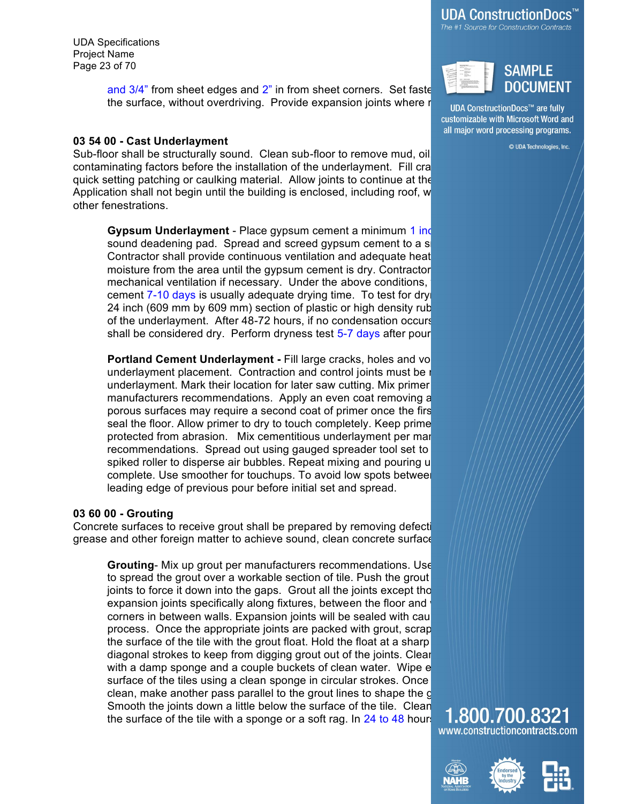UDA Specifications Project Name Page 23 of 70

> and 3/4" from sheet edges and 2" in from sheet corners. Set fastener heads in DOCUMENT the surface, without overdriving. Provide expansion joints where  $r_{\text{UDA ConstructionDocs}^m}$  are fully

#### **03 54 00 - Cast Underlayment**

Sub-floor shall be structurally sound. Clean sub-floor to remove mud, oil, and other construction of the SubATechnologies, Inc. contaminating factors before the installation of the underlayment. Fill cra quick setting patching or caulking material. Allow joints to continue at the Application shall not begin until the building is enclosed, including roof,  $w$ other fenestrations.

**Gypsum Underlayment** - Place gypsum cement a minimum 1 ind sound deadening pad. Spread and screed gypsum cement to a s Contractor shall provide continuous ventilation and adequate heat moisture from the area until the gypsum cement is dry. Contractor mechanical ventilation if necessary. Under the above conditions, cement 7-10 days is usually adequate drying time. To test for dry 24 inch (609 mm by 609 mm) section of plastic or high density rub of the underlayment. After 48-72 hours, if no condensation occurs shall be considered dry. Perform dryness test 5-7 days after pour

**Portland Cement Underlayment - Fill large cracks, holes and vo** underlayment placement. Contraction and control joints must be underlayment. Mark their location for later saw cutting. Mix primer manufacturers recommendations. Apply an even coat removing a porous surfaces may require a second coat of primer once the firs seal the floor. Allow primer to dry to touch completely. Keep prime protected from abrasion. Mix cementitious underlayment per mar recommendations. Spread out using gauged spreader tool set to spiked roller to disperse air bubbles. Repeat mixing and pouring u complete. Use smoother for touchups. To avoid low spots betwee leading edge of previous pour before initial set and spread.

#### **03 60 00 - Grouting**

Concrete surfaces to receive grout shall be prepared by removing defect grease and other foreign matter to achieve sound, clean concrete surface

**Grouting**- Mix up grout per manufacturers recommendations. Use to spread the grout over a workable section of tile. Push the grout joints to force it down into the gaps. Grout all the joints except tho expansion joints specifically along fixtures, between the floor and corners in between walls. Expansion joints will be sealed with cau process. Once the appropriate joints are packed with grout, scrap the surface of the tile with the grout float. Hold the float at a sharp diagonal strokes to keep from digging grout out of the joints. Clear with a damp sponge and a couple buckets of clean water. Wipe e surface of the tiles using a clean sponge in circular strokes. Once clean, make another pass parallel to the grout lines to shape the  $\mathsf{c}\,$ Smooth the joints down a little below the surface of the tile. Clean the remaining haze off the surface of the tile with a sponge or a soft rag. In 24 to 48 hours **and TTOUUTTOUTTI** www.constructioncontracts.com

The #1 Source for Construction Contracts

UDA ConstructionDocs



customizable with Microsoft Word and all major word processing programs.